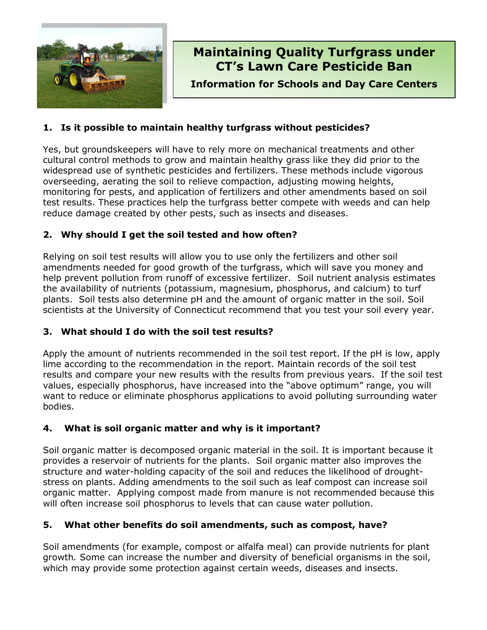

# **Maintaining Quality Turfgrass under CT's Lawn Care Pesticide Ban**

**Information for Schools and Day Care Centers**

## **1. Is it possible to maintain healthy turfgrass without pesticides?**

Yes, but groundskeepers will have to rely more on mechanical treatments and other cultural control methods to grow and maintain healthy grass like they did prior to the widespread use of synthetic pesticides and fertilizers. These methods include vigorous overseeding, aerating the soil to relieve compaction, adjusting mowing heights, monitoring for pests, and application of fertilizers and other amendments based on soil test results. These practices help the turfgrass better compete with weeds and can help reduce damage created by other pests, such as insects and diseases.

## **2. Why should I get the soil tested and how often?**

Relying on soil test results will allow you to use only the fertilizers and other soil amendments needed for good growth of the turfgrass, which will save you money and help prevent pollution from runoff of excessive fertilizer. Soil nutrient analysis estimates the availability of nutrients (potassium, magnesium, phosphorus, and calcium) to turf plants. Soil tests also determine pH and the amount of organic matter in the soil. Soil scientists at the University of Connecticut recommend that you test your soil every year.

## **3. What should I do with the soil test results?**

Apply the amount of nutrients recommended in the soil test report. If the pH is low, apply lime according to the recommendation in the report. Maintain records of the soil test results and compare your new results with the results from previous years. If the soil test values, especially phosphorus, have increased into the "above optimum" range, you will want to reduce or eliminate phosphorus applications to avoid polluting surrounding water bodies.

## **4. What is soil organic matter and why is it important?**

Soil organic matter is decomposed organic material in the soil. It is important because it provides a reservoir of nutrients for the plants. Soil organic matter also improves the structure and water-holding capacity of the soil and reduces the likelihood of droughtstress on plants. Adding amendments to the soil such as leaf compost can increase soil organic matter. Applying compost made from manure is not recommended because this will often increase soil phosphorus to levels that can cause water pollution.

## **5. What other benefits do soil amendments, such as compost, have?**

Soil amendments (for example, compost or alfalfa meal) can provide nutrients for plant growth*.* Some can increase the number and diversity of beneficial organisms in the soil, which may provide some protection against certain weeds, diseases and insects.